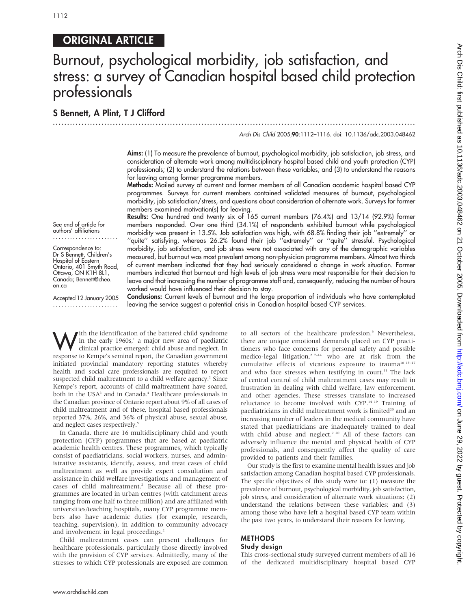# ORIGINAL ARTICLE

# Burnout, psychological morbidity, job satisfaction, and stress: a survey of Canadian hospital based child protection professionals

## S Bennett, A Plint, T J Clifford ...............................................................................................................................

Arch Dis Child 2005;90:1112–1116. doi: 10.1136/adc.2003.048462

Aims: (1) To measure the prevalence of burnout, psychological morbidity, job satisfaction, job stress, and consideration of alternate work among multidisciplinary hospital based child and youth protection (CYP) professionals; (2) to understand the relations between these variables; and (3) to understand the reasons for leaving among former programme members.

Methods: Mailed survey of current and former members of all Canadian academic hospital based CYP programmes. Surveys for current members contained validated measures of burnout, psychological morbidity, job satisfaction/stress, and questions about consideration of alternate work. Surveys for former members examined motivation(s) for leaving.

Results: One hundred and twenty six of 165 current members (76.4%) and 13/14 (92.9%) former members responded. Over one third (34.1%) of respondents exhibited burnout while psychological morbidity was present in 13.5%. Job satisfaction was high, with 68.8% finding their job ''extremely'' or ''quite'' satisfying, whereas 26.2% found their job ''extremely'' or ''quite'' stressful. Psychological morbidity, job satisfaction, and job stress were not associated with any of the demographic variables measured, but burnout was most prevalent among non-physician programme members. Almost two thirds of current members indicated that they had seriously considered a change in work situation. Former members indicated that burnout and high levels of job stress were most responsible for their decision to leave and that increasing the number of programme staff and, consequently, reducing the number of hours worked would have influenced their decision to stay.

See end of article for authors' affiliations .......................

Correspondence to: Dr S Bennett, Children's Hospital of Eastern Ontario, 401 Smyth Road, Ottawa, ON K1H 8L1, Canada; Bennett@cheo. on.ca

Accepted 12 January 2005 .......................

Conclusions: Current levels of burnout and the large proportion of individuals who have contemplated leaving the service suggest a potential crisis in Canadian hospital based CYP services.

With the identification of the battered child syndrome<br>inical practice emerged: child abuse and neglect. In<br>reconnecto Kenne's seminal report, the Canadian government in the early 1960s,<sup>1</sup> a major new area of paediatric clinical practice emerged: child abuse and neglect. In response to Kempe's seminal report, the Canadian government initiated provincial mandatory reporting statutes whereby health and social care professionals are required to report suspected child maltreatment to a child welfare agency.<sup>2</sup> Since Kempe's report, accounts of child maltreatment have soared, both in the USA<sup>3</sup> and in Canada.<sup>4</sup> Healthcare professionals in the Canadian province of Ontario report about 9% of all cases of child maltreatment and of these, hospital based professionals reported 37%, 26%, and 36% of physical abuse, sexual abuse, and neglect cases respectively.<sup>5</sup>

In Canada, there are 16 multidisciplinary child and youth protection (CYP) programmes that are based at paediatric academic health centres. These programmes, which typically consist of paediatricians, social workers, nurses, and administrative assistants, identify, assess, and treat cases of child maltreatment as well as provide expert consultation and assistance in child welfare investigations and management of cases of child maltreatment.2 Because all of these programmes are located in urban centres (with catchment areas ranging from one half to three million) and are affiliated with universities/teaching hospitals, many CYP programme members also have academic duties (for example, research, teaching, supervision), in addition to community advocacy and involvement in legal proceedings.<sup>2</sup>

Child maltreatment cases can present challenges for healthcare professionals, particularly those directly involved with the provision of CYP services. Admittedly, many of the stresses to which CYP professionals are exposed are common to all sectors of the healthcare profession.<sup>6</sup> Nevertheless, there are unique emotional demands placed on CYP practitioners who face concerns for personal safety and possible medico-legal litigation,<sup>2 7-14</sup> who are at risk from the cumulative effects of vicarious exposure to trauma<sup>10 15-17</sup> and who face stresses when testifying in court.<sup>11</sup> The lack of central control of child maltreatment cases may result in frustration in dealing with child welfare, law enforcement, and other agencies. These stresses translate to increased reluctance to become involved with CYP.14 19 Training of paediatricians in child maltreatment work is limited<sup>20</sup> and an increasing number of leaders in the medical community have stated that paediatricians are inadequately trained to deal with child abuse and neglect.<sup>2 20</sup> All of these factors can adversely influence the mental and physical health of CYP professionals, and consequently affect the quality of care provided to patients and their families.

Our study is the first to examine mental health issues and job satisfaction among Canadian hospital based CYP professionals. The specific objectives of this study were to: (1) measure the prevalence of burnout, psychological morbidity, job satisfaction, job stress, and consideration of alternate work situations; (2) understand the relations between these variables; and (3) among those who have left a hospital based CYP team within the past two years, to understand their reasons for leaving.

#### METHODS Study design

This cross-sectional study surveyed current members of all 16 of the dedicated multidisciplinary hospital based CYP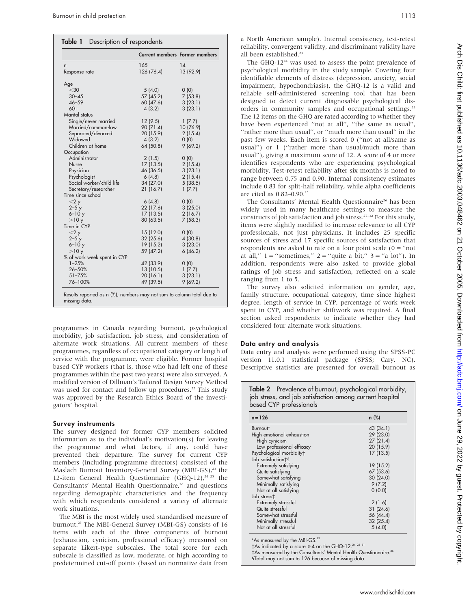|                             | <b>Current members Former members</b> |           |
|-----------------------------|---------------------------------------|-----------|
| n                           | 165                                   | 14        |
| Response rate               | 126 (76.4)                            | 13 (92.9) |
| Age                         |                                       |           |
| $<$ 30                      | 5(4.0)                                | 0(0)      |
| $30 - 45$                   | 57 (45.2)                             | 7(53.8)   |
| $46 - 59$                   | 60 (47.6)                             | 3(23.1)   |
| $60+$                       | 4(3.2)                                | 3(23.1)   |
| Marital status              |                                       |           |
| Single/never married        | 12(9.5)                               | 1(7.7)    |
| Married/common-law          | 90 (71.4)                             | 10 (76.9) |
| Separated/divorced          | 20 (15.9)                             | 2(15.4)   |
| Widowed                     | 4(3.2)                                | 0(0)      |
| Children at home            | 64 (50.8)                             | 9(69.2)   |
| Occupation                  |                                       |           |
| Administrator               | 2(1.5)                                | 0(0)      |
| Nurse                       | 17(13.5)                              | 2(15.4)   |
| Physician                   | 46 (36.5)                             | 3(23.1)   |
| Psychologist                | 6(4.8)                                | 2(15.4)   |
| Social worker/child life    | 34 (27.0)                             | 5(38.5)   |
| Secretary/researcher        | 21(16.7)                              | 1(7.7)    |
| Time since school           |                                       |           |
| $<$ 2 y                     | 6(4.8)                                | 0(0)      |
| $2 - 5y$                    | 22 (17.6)                             | 3(25.0)   |
| $6 - 10y$                   | 17(13.5)                              | 2(16.7)   |
| >10y                        | 80 (63.5)                             | 7(58.3)   |
| Time in CYP                 |                                       |           |
| $<$ 2 y                     | 15(12.0)                              | 0(0)      |
| $2 - 5y$                    | 32(25.6)                              | 4(30.8)   |
| $6 - 10y$                   | 19 (15.2)                             | 3(23.0)   |
| >10y                        | 59 (47.2)                             | 6(46.2)   |
| % of work week spent in CYP |                                       |           |
| $1 - 25%$                   | 42 (33.9)                             | 0(0)      |
| 26-50%                      | 13 (10.5)                             | 1(7.7)    |
| $51 - 75%$                  | 20 (16.1)                             | 3(23.1)   |
| 76-100%                     | 49 (39.5)                             | 9(69.2)   |

programmes in Canada regarding burnout, psychological morbidity, job satisfaction, job stress, and consideration of alternate work situations. All current members of these programmes, regardless of occupational category or length of service with the programme, were eligible. Former hospital based CYP workers (that is, those who had left one of these programmes within the past two years) were also surveyed. A modified version of Dillman's Tailored Design Survey Method was used for contact and follow up procedures.<sup>22</sup> This study was approved by the Research Ethics Board of the investigators' hospital.

#### Survey instruments

The survey designed for former CYP members solicited information as to the individual's motivation(s) for leaving the programme and what factors, if any, could have prevented their departure. The survey for current CYP members (including programme directors) consisted of the Maslach Burnout Inventory-General Survey (MBI-GS),<sup>23</sup> the 12-item General Health Questionnaire  $(GHQ-12)$ ,<sup>24-25</sup> the Consultants' Mental Health Questionnaire,<sup>26</sup> and questions regarding demographic characteristics and the frequency with which respondents considered a variety of alternate work situations.

The MBI is the most widely used standardised measure of burnout.<sup>23</sup> The MBI-General Survey (MBI-GS) consists of 16 items with each of the three components of burnout (exhaustion, cynicism, professional efficacy) measured on separate Likert-type subscales. The total score for each subscale is classified as low, moderate, or high according to predetermined cut-off points (based on normative data from a North American sample). Internal consistency, test-retest reliability, convergent validity, and discriminant validity have all been established.<sup>23</sup>

The GHQ-12<sup>24</sup> was used to assess the point prevalence of psychological morbidity in the study sample. Covering four identifiable elements of distress (depression, anxiety, social impairment, hypochondriasis), the GHQ-12 is a valid and reliable self-administered screening tool that has been designed to detect current diagnosable psychological disorders in community samples and occupational settings.<sup>25</sup> The 12 items on the GHQ are rated according to whether they have been experienced ''not at all'', ''the same as usual'', "rather more than usual", or "much more than usual" in the past few weeks. Each item is scored 0 (''not at all/same as usual") or 1 ("rather more than usual/much more than usual''), giving a maximum score of 12. A score of 4 or more identifies respondents who are experiencing psychological morbidity. Test-retest reliability after six months is noted to range between 0.75 and 0.90. Internal consistency estimates include 0.83 for split-half reliability, while alpha coefficients are cited as 0.82-0.90.<sup>25</sup>

The Consultants' Mental Health Questionnaire<sup>26</sup> has been widely used in many healthcare settings to measure the constructs of job satisfaction and job stress.<sup>27-32</sup> For this study, items were slightly modified to increase relevance to all CYP professionals, not just physicians. It includes 25 specific sources of stress and 17 specific sources of satisfaction that respondents are asked to rate on a four point scale  $(0 = "not$ at all,"  $1 =$ "sometimes,"  $2 =$ "quite a bit,"  $3 =$ "a lot"). In addition, respondents were also asked to provide global ratings of job stress and satisfaction, reflected on a scale ranging from 1 to 5.

The survey also solicited information on gender, age, family structure, occupational category, time since highest degree, length of service in CYP, percentage of work week spent in CYP, and whether shiftwork was required. A final section asked respondents to indicate whether they had considered four alternate work situations.

## Data entry and analysis

Data entry and analysis were performed using the SPSS-PC version 11.0.1 statistical package (SPSS; Cary, NC). Descriptive statistics are presented for overall burnout as

| Table 2 Prevalence of burnout, psychological morbidity,<br>job stress, and job satisfaction among current hospital<br>based CYP professionals |
|-----------------------------------------------------------------------------------------------------------------------------------------------|
|                                                                                                                                               |

| $n = 126$                 | $n$ (%)   |
|---------------------------|-----------|
| Burnout*                  | 43 (34.1) |
| High emotional exhaustion | 29 (23.0) |
| High cynicism             | 27(21.4)  |
| Low professional efficacy | 20 (15.9) |
| Psychological morbidity†  | 17(13.5)  |
| Job satisfaction‡§        |           |
| Extremely satisfying      | 19 (15.2) |
| Quite satisfying          | 67(53.6)  |
| Somewhat satisfying       | 30(24.0)  |
| Minimally satisfying      | 9(7.2)    |
| Not at all satisfying     | 0(0.0)    |
| Job stress <sup>±</sup>   |           |
| Extremely stressful       | 2(1.6)    |
| Quite stressful           | 31(24.6)  |
| Somewhat stressful        | 56 (44.4) |
| Minimally stressful       | 32(25.4)  |
| Not at all stressful      | 5(4.0)    |

 $*$ As measured by the MBI-GS. $^{23}$ 

 $\dagger$ As indicated by a score  $\geq 4$  on the GHQ-12.<sup>24 25 31</sup>  $\pm$ As measured by the Consultants' Mental Health Questionnaire.<sup>26</sup>

§Total may not sum to 126 because of missing data.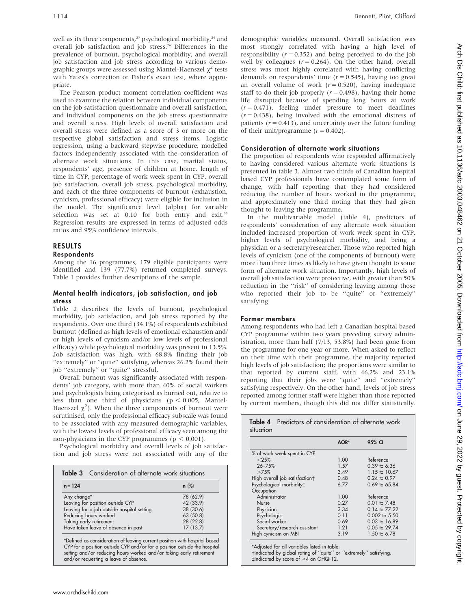well as its three components,<sup>23</sup> psychological morbidity,<sup>24</sup> and overall job satisfaction and job stress.26 Differences in the prevalence of burnout, psychological morbidity, and overall job satisfaction and job stress according to various demographic groups were assessed using Mantel-Haenszel  $\chi^2$  tests with Yates's correction or Fisher's exact test, where appropriate.

The Pearson product moment correlation coefficient was used to examine the relation between individual components on the job satisfaction questionnaire and overall satisfaction, and individual components on the job stress questionnaire and overall stress. High levels of overall satisfaction and overall stress were defined as a score of 3 or more on the respective global satisfaction and stress items. Logistic regression, using a backward stepwise procedure, modelled factors independently associated with the consideration of alternate work situations. In this case, marital status, respondents' age, presence of children at home, length of time in CYP, percentage of work week spent in CYP, overall job satisfaction, overall job stress, psychological morbidity, and each of the three components of burnout (exhaustion, cynicism, professional efficacy) were eligible for inclusion in the model. The significance level (alpha) for variable selection was set at 0.10 for both entry and exit.<sup>33</sup> Regression results are expressed in terms of adjusted odds ratios and 95% confidence intervals.

## RESULTS

## Respondents

Among the 16 programmes, 179 eligible participants were identified and 139 (77.7%) returned completed surveys. Table 1 provides further descriptions of the sample.

## Mental health indicators, job satisfaction, and job stress

Table 2 describes the levels of burnout, psychological morbidity, job satisfaction, and job stress reported by the respondents. Over one third (34.1%) of respondents exhibited burnout (defined as high levels of emotional exhaustion and/ or high levels of cynicism and/or low levels of professional efficacy) while psychological morbidity was present in 13.5%. Job satisfaction was high, with 68.8% finding their job "extremely" or "quite" satisfying, whereas 26.2% found their job ''extremely'' or ''quite'' stressful.

Overall burnout was significantly associated with respondents' job category, with more than 40% of social workers and psychologists being categorised as burned out, relative to less than one third of physicians ( $p < 0.005$ , Mantel-Haenszel  $\chi^2$ ). When the three components of burnout were scrutinised, only the professional efficacy subscale was found to be associated with any measured demographic variables, with the lowest levels of professional efficacy seen among the non-physicians in the CYP programmes ( $p < 0.001$ ).

Psychological morbidity and overall levels of job satisfaction and job stress were not associated with any of the

| <b>Table 3</b> Consideration of alternate work situations |           |
|-----------------------------------------------------------|-----------|
| $n = 124$                                                 | $n$ (%)   |
| Any change*                                               | 78 (62.9) |
| Leaving for position outside CYP                          | 42 (33.9) |
| Leaving for a job outside hospital setting                | 38 (30.6) |
| Reducing hours worked                                     | 63 (50.8) |
| Taking early retirement                                   | 28 (22.8) |
| Have taken leave of absence in past                       | 17(13.7)  |

\*Defined as consideration of leaving current position with hospital based CYP for a position outside CYP and/or for a position outside the hospital setting and/or reducing hours worked and/or taking early retirement and/or requesting a leave of absence.

demographic variables measured. Overall satisfaction was most strongly correlated with having a high level of responsibility ( $r = 0.352$ ) and being perceived to do the job well by colleagues  $(r = 0.264)$ . On the other hand, overall stress was most highly correlated with having conflicting demands on respondents' time  $(r = 0.545)$ , having too great an overall volume of work  $(r = 0.520)$ , having inadequate staff to do their job properly ( $r = 0.498$ ), having their home life disrupted because of spending long hours at work  $(r = 0.471)$ , feeling under pressure to meet deadlines  $(r = 0.438)$ , being involved with the emotional distress of patients ( $r = 0.413$ ), and uncertainty over the future funding of their unit/programme  $(r = 0.402)$ .

## Consideration of alternate work situations

The proportion of respondents who responded affirmatively to having considered various alternate work situations is presented in table 3. Almost two thirds of Canadian hospital based CYP professionals have contemplated some form of change, with half reporting that they had considered reducing the number of hours worked in the programme, and approximately one third noting that they had given thought to leaving the programme.

In the multivariable model (table 4), predictors of respondents' consideration of any alternate work situation included increased proportion of work week spent in CYP, higher levels of psychological morbidity, and being a physician or a secretary/researcher. Those who reported high levels of cynicism (one of the components of burnout) were more than three times as likely to have given thought to some form of alternate work situation. Importantly, high levels of overall job satisfaction were protective, with greater than 50% reduction in the "risk" of considering leaving among those who reported their job to be ''quite'' or ''extremely'' satisfying.

## Former members

Among respondents who had left a Canadian hospital based CYP programme within two years preceding survey administration, more than half (7/13, 53.8%) had been gone from the programme for one year or more. When asked to reflect on their time with their programme, the majority reported high levels of job satisfaction; the proportions were similar to that reported by current staff, with 46.2% and 23.1% reporting that their jobs were ''quite'' and ''extremely'' satisfying respectively. On the other hand, levels of job stress reported among former staff were higher than those reported by current members, though this did not differ statistically.

|                                | AOR* | 95% CI           |
|--------------------------------|------|------------------|
| % of work week spent in CYP    |      |                  |
| $<$ 25%                        | 1.00 | Reference        |
| $26 - 75%$                     | 1.57 | 0.39 to 6.36     |
| >75%                           | 3.49 | 1.15 to 10.67    |
| High overall job satisfaction† | 0.48 | $0.24$ to $0.97$ |
| Psychological morbidity‡       | 6.77 | 0.69 to 65.84    |
| Occupation                     |      |                  |
| Administrator                  | 1.00 | Reference        |
| Nurse                          | 0.27 | $0.01$ to $7.48$ |
| Physician                      | 3.34 | 0.14 to 77.22    |
| Psychologist                   | 0.11 | 0.002 to 5.50    |
| Social worker                  | 0.69 | 0.03 to 16.89    |
| Secretary/research assistant   | 1.21 | 0.05 to 29.74    |
| High cynicism on MBI           | 3.19 | 1.50 to 6.78     |

by global rating of ''quite'' or ''extremely'' satisfying.  $\ddagger$ Indicated by score of  $\geq 4$  on GHQ-12.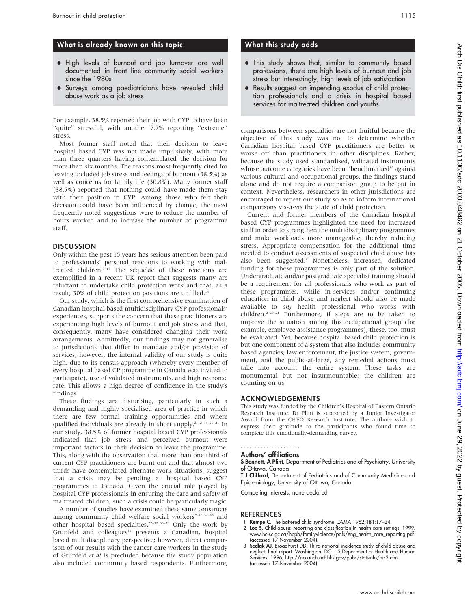## What is already known on this topic

- High levels of burnout and job turnover are well documented in front line community social workers since the 1980s
- Surveys among paediatricians have revealed child abuse work as a job stress

For example, 38.5% reported their job with CYP to have been ''quite'' stressful, with another 7.7% reporting ''extreme'' stress.

Most former staff noted that their decision to leave hospital based CYP was not made impulsively, with more than three quarters having contemplated the decision for more than six months. The reasons most frequently cited for leaving included job stress and feelings of burnout (38.5%) as well as concerns for family life (30.8%). Many former staff (38.5%) reported that nothing could have made them stay with their position in CYP. Among those who felt their decision could have been influenced by change, the most frequently noted suggestions were to reduce the number of hours worked and to increase the number of programme staff.

## **DISCUSSION**

Only within the past 15 years has serious attention been paid to professionals' personal reactions to working with maltreated children.7–19 The sequelae of these reactions are exemplified in a recent UK report that suggests many are reluctant to undertake child protection work and that, as a result, 30% of child protection positions are unfilled.<sup>14</sup>

Our study, which is the first comprehensive examination of Canadian hospital based multidisciplinary CYP professionals' experiences, supports the concern that these practitioners are experiencing high levels of burnout and job stress and that, consequently, many have considered changing their work arrangements. Admittedly, our findings may not generalise to jurisdictions that differ in mandate and/or provision of services; however, the internal validity of our study is quite high, due to its census approach (whereby every member of every hospital based CP programme in Canada was invited to participate), use of validated instruments, and high response rate. This allows a high degree of confidence in the study's findings.

These findings are disturbing, particularly in such a demanding and highly specialised area of practice in which there are few formal training opportunities and where qualified individuals are already in short supply.2 12 14 20 21 In our study, 38.5% of former hospital based CYP professionals indicated that job stress and perceived burnout were important factors in their decision to leave the programme. This, along with the observation that more than one third of current CYP practitioners are burnt out and that almost two thirds have contemplated alternate work situations, suggest that a crisis may be pending at hospital based CYP programmes in Canada. Given the crucial role played by hospital CYP professionals in ensuring the care and safety of maltreated children, such a crisis could be particularly tragic.

A number of studies have examined these same constructs among community child welfare social workers<sup>7-10 34-35</sup> and other hospital based specialties.27–32 36–39 Only the work by Grunfeld and colleagues<sup>31</sup> presents a Canadian, hospital based multidisciplinary perspective; however, direct comparison of our results with the cancer care workers in the study of Grunfeld et al is precluded because the study population also included community based respondents. Furthermore,

## What this study adds

- This study shows that, similar to community based professions, there are high levels of burnout and job stress but interestingly, high levels of job satisfaction
- Results suggest an impending exodus of child protection professionals and a crisis in hospital based services for maltreated children and youths

comparisons between specialties are not fruitful because the objective of this study was not to determine whether Canadian hospital based CYP practitioners are better or worse off than practitioners in other disciplines. Rather, because the study used standardised, validated instruments whose outcome categories have been ''benchmarked'' against various cultural and occupational groups, the findings stand alone and do not require a comparison group to be put in context. Nevertheless, researchers in other jurisdictions are encouraged to repeat our study so as to inform international comparisons vis-a`-vis the state of child protection.

Current and former members of the Canadian hospital based CYP programmes highlighted the need for increased staff in order to strengthen the multidisciplinary programmes and make workloads more manageable, thereby reducing stress. Appropriate compensation for the additional time needed to conduct assessments of suspected child abuse has also been suggested.<sup>2</sup> Nonetheless, increased, dedicated funding for these programmes is only part of the solution. Undergraduate and/or postgraduate specialist training should be a requirement for all professionals who work as part of these programmes, while in-services and/or continuing education in child abuse and neglect should also be made available to any health professional who works with children.2 20 21 Furthermore, if steps are to be taken to improve the situation among this occupational group (for example, employee assistance programmes), these, too, must be evaluated. Yet, because hospital based child protection is but one component of a system that also includes community based agencies, law enforcement, the justice system, government, and the public-at-large, any remedial actions must take into account the entire system. These tasks are monumental but not insurmountable; the children are counting on us.

#### ACKNOWLEDGEMENTS

This study was funded by the Children's Hospital of Eastern Ontario Research Institute. Dr Plint is supported by a Junior Investigator Award from the CHEO Research Institute. The authors wish to express their gratitude to the participants who found time to complete this emotionally-demanding survey.

## .....................

Authors' affiliations

#### S Bennett, A Plint, Department of Pediatrics and of Psychiatry, University of Ottawa, Canada

T J Clifford, Department of Pediatrics and of Community Medicine and Epidemiology, University of Ottawa, Canada

Competing interests: none declared

#### **REFERENCES**

- 1 Kempe C. The battered child syndrome. JAMA 1962;181:17–24.
- 2 Loo S. Child abuse: reporting and classification in health care settings, 1999. www.hc-sc.gc.ca/hppb/familyviolence/pdfs/eng\_health\_care\_reporting.pdf (accessed 17 November 2004).
- 3 Sedlak AJ, Broadhurst DD. Third national incidence study of child abuse and neglect: final report. Washington, DC: US Department of Health and Human Services, 1996, http://nccanch.acf.hhs.gov/pubs/statsinfo/nis3.cfm (accessed 17 November 2004).